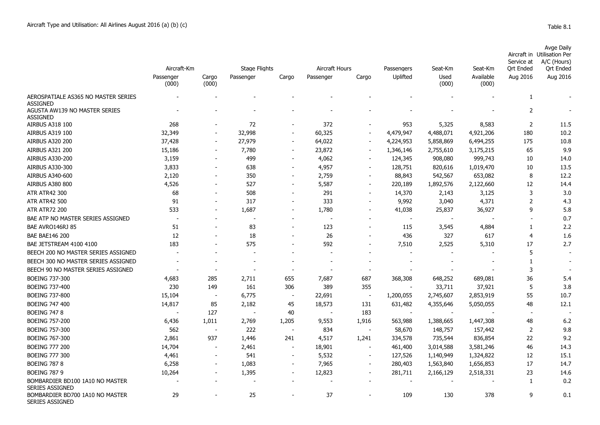| Avge Daily                  |
|-----------------------------|
| Aircraft in Utilisation Per |
| Service at A/C (Hours)      |

|                                                           | Aircraft-Km        |                          | <b>Stage Flights</b> |                          | Aircraft Hours |                          | Passengers               | Seat-Km        | Seat-Km            | Service at<br><b>Ort Ended</b> | A/C (Hours)<br><b>Ort Ended</b> |
|-----------------------------------------------------------|--------------------|--------------------------|----------------------|--------------------------|----------------|--------------------------|--------------------------|----------------|--------------------|--------------------------------|---------------------------------|
|                                                           | Passenger<br>(000) | Cargo<br>(000)           | Passenger            | Cargo                    | Passenger      | Cargo                    | Uplifted                 | Used<br>(000)  | Available<br>(000) | Aug 2016                       | Aug 2016                        |
| AEROSPATIALE AS365 NO MASTER SERIES<br><b>ASSIGNED</b>    |                    |                          |                      |                          |                |                          |                          |                |                    | 1                              |                                 |
| AGUSTA AW139 NO MASTER SERIES<br><b>ASSIGNED</b>          |                    |                          |                      |                          |                |                          |                          |                |                    | 2                              |                                 |
| AIRBUS A318 100                                           | 268                |                          | 72                   |                          | 372            |                          | 953                      | 5,325          | 8,583              | $\overline{2}$                 | 11.5                            |
| AIRBUS A319 100                                           | 32,349             | $\overline{\phantom{a}}$ | 32,998               | $\overline{\phantom{a}}$ | 60,325         | $\sim$                   | 4,479,947                | 4,488,071      | 4,921,206          | 180                            | 10.2                            |
| <b>AIRBUS A320 200</b>                                    | 37,428             |                          | 27,979               | $\overline{\phantom{a}}$ | 64,022         |                          | 4,224,953                | 5,858,869      | 6,494,255          | 175                            | 10.8                            |
| <b>AIRBUS A321 200</b>                                    | 15,186             |                          | 7,780                | $\overline{\phantom{a}}$ | 23,872         | $\sim$                   | 1,346,146                | 2,755,610      | 3,175,215          | 65                             | 9.9                             |
| <b>AIRBUS A330-200</b>                                    | 3,159              |                          | 499                  | $\overline{\phantom{a}}$ | 4,062          | $\overline{\phantom{a}}$ | 124,345                  | 908,080        | 999,743            | 10                             | 14.0                            |
| AIRBUS A330-300                                           | 3,833              |                          | 638                  |                          | 4,957          |                          | 128,751                  | 820,616        | 1,019,470          | 10                             | 13.5                            |
| AIRBUS A340-600                                           | 2,120              |                          | 350                  |                          | 2,759          |                          | 88,843                   | 542,567        | 653,082            | 8                              | 12.2                            |
| <b>AIRBUS A380 800</b>                                    | 4,526              |                          | 527                  |                          | 5,587          |                          | 220,189                  | 1,892,576      | 2,122,660          | 12                             | 14.4                            |
| <b>ATR ATR42 300</b>                                      | 68                 |                          | 508                  |                          | 291            |                          | 14,370                   | 2,143          | 3,125              | 3                              | 3.0                             |
| <b>ATR ATR42 500</b>                                      | 91                 |                          | 317                  |                          | 333            |                          | 9,992                    | 3,040          | 4,371              | $\overline{2}$                 | 4.3                             |
| <b>ATR ATR72 200</b>                                      | 533                |                          | 1,687                |                          | 1,780          |                          | 41,038                   | 25,837         | 36,927             | 9                              | 5.8                             |
| BAE ATP NO MASTER SERIES ASSIGNED                         |                    |                          |                      |                          |                |                          | $\overline{\phantom{a}}$ | $\blacksquare$ |                    |                                | 0.7                             |
| BAE AVRO146RJ 85                                          | 51                 |                          | 83                   |                          | 123            |                          | 115                      | 3,545          | 4,884              | 1                              | 2.2                             |
| <b>BAE BAE146 200</b>                                     | 12                 |                          | 18                   |                          | 26             |                          | 436                      | 327            | 617                | $\overline{4}$                 | 1.6                             |
| BAE JETSTREAM 4100 4100                                   | 183                |                          | 575                  |                          | 592            |                          | 7,510                    | 2,525          | 5,310              | 17                             | 2.7                             |
| BEECH 200 NO MASTER SERIES ASSIGNED                       |                    |                          |                      |                          |                |                          |                          |                |                    | 5                              |                                 |
| BEECH 300 NO MASTER SERIES ASSIGNED                       |                    |                          |                      |                          |                |                          |                          |                |                    | $\mathbf{1}$                   |                                 |
| BEECH 90 NO MASTER SERIES ASSIGNED                        |                    |                          |                      |                          |                |                          |                          |                |                    | 3                              |                                 |
| <b>BOEING 737-300</b>                                     | 4,683              | 285                      | 2,711                | 655                      | 7,687          | 687                      | 368,308                  | 648,252        | 689,081            | 36                             | 5.4                             |
| <b>BOEING 737-400</b>                                     | 230                | 149                      | 161                  | 306                      | 389            | 355                      |                          | 33,711         | 37,921             | 5                              | 3.8                             |
| <b>BOEING 737-800</b>                                     | 15,104             |                          | 6,775                |                          | 22,691         | $\overline{\phantom{a}}$ | 1,200,055                | 2,745,607      | 2,853,919          | 55                             | 10.7                            |
| <b>BOEING 747 400</b>                                     | 14,817             | 85                       | 2,182                | 45                       | 18,573         | 131                      | 631,482                  | 4,355,646      | 5,050,055          | 48                             | 12.1                            |
| <b>BOEING 747 8</b>                                       |                    | 127                      |                      | 40                       |                | 183                      | $\overline{\phantom{a}}$ |                |                    |                                |                                 |
| <b>BOEING 757-200</b>                                     | 6,436              | 1,011                    | 2,769                | 1,205                    | 9,553          | 1,916                    | 563,988                  | 1,388,665      | 1,447,308          | 48                             | 6.2                             |
| <b>BOEING 757-300</b>                                     | 562                |                          | 222                  | $\overline{\phantom{a}}$ | 834            | $\blacksquare$           | 58,670                   | 148,757        | 157,442            | 2                              | 9.8                             |
| <b>BOEING 767-300</b>                                     | 2,861              | 937                      | 1,446                | 241                      | 4,517          | 1,241                    | 334,578                  | 735,544        | 836,854            | 22                             | 9.2                             |
| <b>BOEING 777 200</b>                                     | 14,704             |                          | 2,461                | $\overline{\phantom{a}}$ | 18,901         | $\sim$                   | 461,400                  | 3,014,588      | 3,581,246          | 46                             | 14.3                            |
| <b>BOEING 777 300</b>                                     | 4,461              |                          | 541                  | $\overline{\phantom{a}}$ | 5,532          |                          | 127,526                  | 1,140,949      | 1,324,822          | 12                             | 15.1                            |
| <b>BOEING 787 8</b>                                       | 6,258              | $\overline{\phantom{a}}$ | 1,083                | $\overline{\phantom{a}}$ | 7,965          |                          | 280,403                  | 1,563,840      | 1,656,853          | 17                             | 14.7                            |
| <b>BOEING 787 9</b>                                       | 10,264             |                          | 1,395                | $\sim$                   | 12,823         | $\overline{\phantom{a}}$ | 281,711                  | 2,166,129      | 2,518,331          | 23                             | 14.6                            |
| BOMBARDIER BD100 1A10 NO MASTER<br>SERIES ASSIGNED        |                    |                          |                      |                          |                |                          |                          |                |                    | 1                              | 0.2                             |
| BOMBARDIER BD700 1A10 NO MASTER<br><b>SERIES ASSIGNED</b> | 29                 |                          | 25                   |                          | 37             |                          | 109                      | 130            | 378                | 9                              | 0.1                             |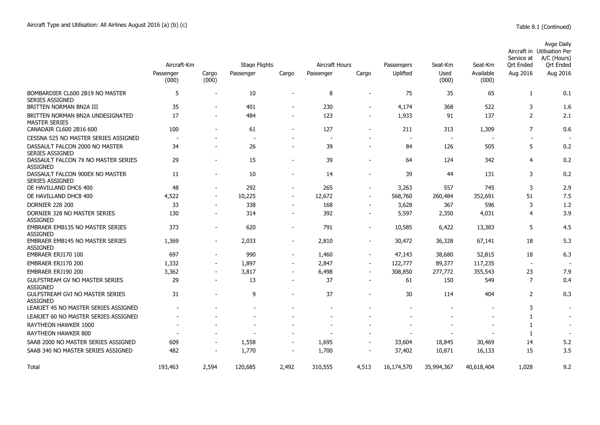|                                                           |                          |                |                      |                          |                |        |                          |                |                          | Service at               | Avge Daily<br>Aircraft in Utilisation Per<br>A/C (Hours) |
|-----------------------------------------------------------|--------------------------|----------------|----------------------|--------------------------|----------------|--------|--------------------------|----------------|--------------------------|--------------------------|----------------------------------------------------------|
|                                                           | Aircraft-Km              |                | <b>Stage Flights</b> |                          | Aircraft Hours |        | Passengers               | Seat-Km        | Seat-Km                  | <b>Ort Ended</b>         | Ort Ended                                                |
|                                                           | Passenger<br>(000)       | Cargo<br>(000) | Passenger            | Cargo                    | Passenger      | Cargo  | Uplifted                 | Used<br>(000)  | Available<br>(000)       | Aug 2016                 | Aug 2016                                                 |
| BOMBARDIER CL600 2B19 NO MASTER<br><b>SERIES ASSIGNED</b> | 5                        |                | 10                   |                          | 8              |        | 75                       | 35             | 65                       | 1                        | 0.1                                                      |
| BRITTEN NORMAN BN2A III                                   | 35                       |                | 401                  | $\overline{\phantom{a}}$ | 230            |        | 4,174                    | 368            | 522                      | 3                        | 1.6                                                      |
| BRITTEN NORMAN BN2A UNDESIGNATED<br><b>MASTER SERIES</b>  | 17                       |                | 484                  | $\overline{\phantom{a}}$ | 123            |        | 1,933                    | 91             | 137                      | $\overline{2}$           | 2.1                                                      |
| CANADAIR CL600 2B16 600                                   | 100                      |                | 61                   |                          | 127            |        | 211                      | 313            | 1,309                    | 7                        | 0.6                                                      |
| CESSNA 525 NO MASTER SERIES ASSIGNED                      | $\overline{\phantom{a}}$ |                | $\sim$               |                          | $\sim$         |        | $\overline{\phantom{a}}$ | $\overline{a}$ | $\overline{\phantom{a}}$ |                          |                                                          |
| DASSAULT FALCON 2000 NO MASTER<br>SERIES ASSIGNED         | 34                       |                | 26                   | $\overline{\phantom{a}}$ | 39             |        | 84                       | 126            | 505                      | 5                        | 0.2                                                      |
| DASSAULT FALCON 7X NO MASTER SERIES<br><b>ASSIGNED</b>    | 29                       |                | 15                   |                          | 39             |        | 64                       | 124            | 342                      | 4                        | 0.2                                                      |
| DASSAULT FALCON 900EX NO MASTER<br><b>SERIES ASSIGNED</b> | 11                       |                | 10                   |                          | 14             |        | 39                       | 44             | 131                      | 3                        | 0.2                                                      |
| DE HAVILLAND DHC6 400                                     | 48                       |                | 292                  | $\overline{\phantom{a}}$ | 265            |        | 3,263                    | 557            | 745                      | 3                        | 2.9                                                      |
| DE HAVILLAND DHC8 400                                     | 4,522                    |                | 10,225               |                          | 12,672         |        | 568,760                  | 260,484        | 352,691                  | 51                       | 7.5                                                      |
| <b>DORNIER 228 200</b>                                    | 33                       |                | 338                  |                          | 168            |        | 3,628                    | 367            | 596                      | 3                        | 1.2                                                      |
| DORNIER 328 NO MASTER SERIES<br>ASSIGNED                  | 130                      |                | 314                  |                          | 392            |        | 5,597                    | 2,350          | 4,031                    | 4                        | 3.9                                                      |
| EMBRAER EMB135 NO MASTER SERIES<br>ASSIGNED               | 373                      |                | 620                  |                          | 791            |        | 10,585                   | 6,422          | 13,383                   | 5                        | 4.5                                                      |
| EMBRAER EMB145 NO MASTER SERIES<br><b>ASSIGNED</b>        | 1,369                    |                | 2,033                | $\overline{\phantom{a}}$ | 2,810          | $\sim$ | 30,472                   | 36,328         | 67,141                   | 18                       | 5.3                                                      |
| EMBRAER ERJ170 100                                        | 697                      |                | 990                  | $\overline{\phantom{a}}$ | 1,460          |        | 47,143                   | 38,680         | 52,815                   | 18                       | 6.3                                                      |
| EMBRAER ERJ170 200                                        | 1,332                    |                | 1,897                | $\overline{\phantom{a}}$ | 2,847          |        | 122,777                  | 89,377         | 117,235                  | $\overline{\phantom{a}}$ |                                                          |
| EMBRAER ERJ190 200                                        | 3,362                    |                | 3,817                | $\overline{\phantom{a}}$ | 6,498          |        | 308,850                  | 277,772        | 355,543                  | 23                       | 7.9                                                      |
| <b>GULFSTREAM GV NO MASTER SERIES</b><br>ASSIGNED         | 29                       |                | 13                   |                          | 37             |        | 61                       | 150            | 549                      | 7                        | 0.4                                                      |
| <b>GULFSTREAM GVI NO MASTER SERIES</b><br>ASSIGNED        | 31                       |                | 9                    |                          | 37             |        | 30                       | 114            | 404                      | $\overline{2}$           | 0.3                                                      |
| LEARJET 45 NO MASTER SERIES ASSIGNED                      |                          |                |                      |                          |                |        | $\overline{a}$           |                | $\overline{\phantom{a}}$ | 3                        | $\overline{\phantom{a}}$                                 |
| LEARJET 60 NO MASTER SERIES ASSIGNED                      |                          |                |                      |                          |                |        |                          |                |                          | 1                        | $\overline{\phantom{a}}$                                 |
| RAYTHEON HAWKER 1000                                      |                          |                |                      |                          |                |        |                          |                |                          | 1                        | $\overline{a}$                                           |
| RAYTHEON HAWKER 800                                       |                          |                |                      |                          |                |        |                          |                |                          | $\mathbf{1}$             |                                                          |
| SAAB 2000 NO MASTER SERIES ASSIGNED                       | 609                      |                | 1,558                | $\overline{\phantom{a}}$ | 1,695          |        | 33,604                   | 18,845         | 30,469                   | 14                       | 5.2                                                      |
| SAAB 340 NO MASTER SERIES ASSIGNED                        | 482                      |                | 1,770                |                          | 1,700          |        | 37,402                   | 10,871         | 16,133                   | 15                       | 3.5                                                      |
| Total                                                     | 193,463                  | 2,594          | 120,685              | 2,492                    | 310,555        | 4,513  | 16,174,570               | 35,994,367     | 40,618,404               | 1,028                    | 9.2                                                      |